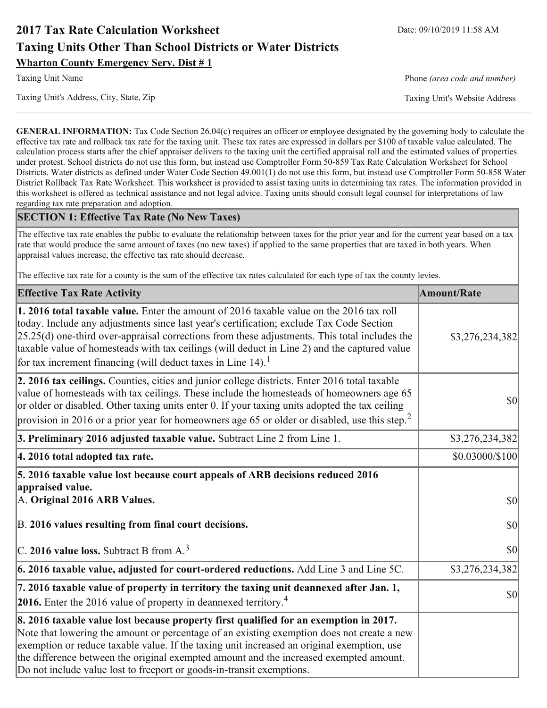# **2017 Tax Rate Calculation Worksheet Taxing Units Other Than School Districts or Water Districts Wharton County Emergency Serv. Dist #1**

**Taxing Unit Name** 

Taxing Unit's Address, City, State, Zip

Phone (area code and number)

Taxing Unit's Website Address

**GENERAL INFORMATION:** Tax Code Section 26.04(c) requires an officer or employee designated by the governing body to calculate the effective tax rate and rollback tax rate for the taxing unit. These tax rates are expressed in dollars per \$100 of taxable value calculated. The calculation process starts after the chief appraiser delivers to the taxing unit the certified appraisal roll and the estimated values of properties under protest. School districts do not use this form, but instead use Comptroller Form 50-859 Tax Rate Calculation Worksheet for School Districts. Water districts as defined under Water Code Section 49.001(1) do not use this form, but instead use Comptroller Form 50-858 Water District Rollback Tax Rate Worksheet. This worksheet is provided to assist taxing units in determining tax rates. The information provided in this worksheet is offered as technical assistance and not legal advice. Taxing units should consult legal counsel for interpretations of law regarding tax rate preparation and adoption.

### **SECTION 1: Effective Tax Rate (No New Taxes)**

The effective tax rate enables the public to evaluate the relationship between taxes for the prior year and for the current year based on a tax rate that would produce the same amount of taxes (no new taxes) if applied to the same properties that are taxed in both years. When appraisal values increase, the effective tax rate should decrease.

The effective tax rate for a county is the sum of the effective tax rates calculated for each type of tax the county levies.

| <b>Effective Tax Rate Activity</b>                                                                                                                                                                                                                                                                                                                                                                                                                                      | <b>Amount/Rate</b> |
|-------------------------------------------------------------------------------------------------------------------------------------------------------------------------------------------------------------------------------------------------------------------------------------------------------------------------------------------------------------------------------------------------------------------------------------------------------------------------|--------------------|
| 1. 2016 total taxable value. Enter the amount of 2016 taxable value on the 2016 tax roll<br>today. Include any adjustments since last year's certification; exclude Tax Code Section<br>$[25.25(d)$ one-third over-appraisal corrections from these adjustments. This total includes the<br>taxable value of homesteads with tax ceilings (will deduct in Line 2) and the captured value<br>for tax increment financing (will deduct taxes in Line $14$ ). <sup>1</sup> | \$3,276,234,382    |
| 2. 2016 tax ceilings. Counties, cities and junior college districts. Enter 2016 total taxable<br>value of homesteads with tax ceilings. These include the homesteads of homeowners age 65<br>or older or disabled. Other taxing units enter 0. If your taxing units adopted the tax ceiling<br>provision in 2016 or a prior year for homeowners age 65 or older or disabled, use this step. <sup>2</sup>                                                                | $ 10\rangle$       |
| 3. Preliminary 2016 adjusted taxable value. Subtract Line 2 from Line 1.                                                                                                                                                                                                                                                                                                                                                                                                | \$3,276,234,382    |
| 4. 2016 total adopted tax rate.                                                                                                                                                                                                                                                                                                                                                                                                                                         | \$0.03000/\$100    |
| 5. 2016 taxable value lost because court appeals of ARB decisions reduced 2016<br>appraised value.<br>A. Original 2016 ARB Values.                                                                                                                                                                                                                                                                                                                                      | $ 10\rangle$       |
| B. 2016 values resulting from final court decisions.                                                                                                                                                                                                                                                                                                                                                                                                                    | \$0                |
| C. 2016 value loss. Subtract B from $A3$                                                                                                                                                                                                                                                                                                                                                                                                                                | 30                 |
| $\vert$ 6. 2016 taxable value, adjusted for court-ordered reductions. Add Line 3 and Line 5C.                                                                                                                                                                                                                                                                                                                                                                           | \$3,276,234,382    |
| 7. 2016 taxable value of property in territory the taxing unit deannexed after Jan. 1,<br><b>2016.</b> Enter the 2016 value of property in deannexed territory. <sup>4</sup>                                                                                                                                                                                                                                                                                            | $ 10\rangle$       |
| 8. 2016 taxable value lost because property first qualified for an exemption in 2017.<br>Note that lowering the amount or percentage of an existing exemption does not create a new<br>exemption or reduce taxable value. If the taxing unit increased an original exemption, use<br>the difference between the original exempted amount and the increased exempted amount.<br>Do not include value lost to freeport or goods-in-transit exemptions.                    |                    |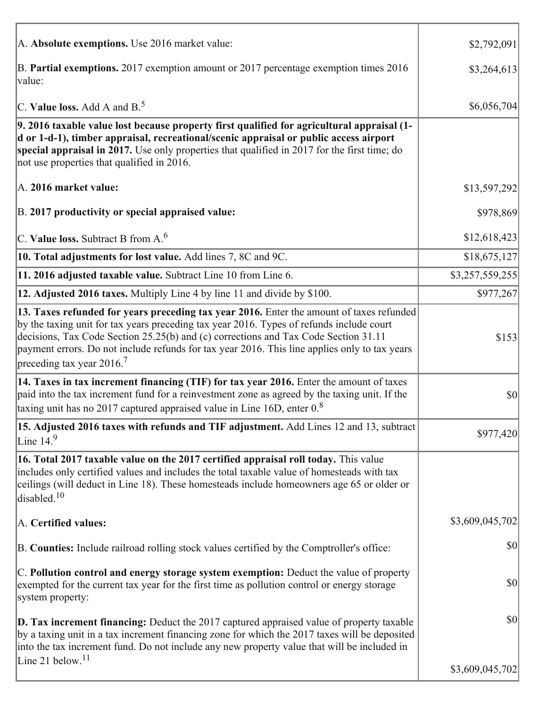| A. Absolute exemptions. Use 2016 market value:                                                                                                                                                                                                                                                                                                                                                                        | \$2,792,091     |
|-----------------------------------------------------------------------------------------------------------------------------------------------------------------------------------------------------------------------------------------------------------------------------------------------------------------------------------------------------------------------------------------------------------------------|-----------------|
| B. Partial exemptions. 2017 exemption amount or 2017 percentage exemption times 2016<br> value:                                                                                                                                                                                                                                                                                                                       | \$3,264,613     |
| C. Value loss. Add A and $B^5$                                                                                                                                                                                                                                                                                                                                                                                        | \$6,056,704     |
| 9. 2016 taxable value lost because property first qualified for agricultural appraisal (1-<br>d or 1-d-1), timber appraisal, recreational/scenic appraisal or public access airport<br>special appraisal in 2017. Use only properties that qualified in 2017 for the first time; do<br>not use properties that qualified in 2016.                                                                                     |                 |
| A. 2016 market value:                                                                                                                                                                                                                                                                                                                                                                                                 | \$13,597,292    |
| B. 2017 productivity or special appraised value:                                                                                                                                                                                                                                                                                                                                                                      | \$978,869       |
| C. Value loss. Subtract B from $A6$                                                                                                                                                                                                                                                                                                                                                                                   | \$12,618,423    |
| 10. Total adjustments for lost value. Add lines 7, 8C and 9C.                                                                                                                                                                                                                                                                                                                                                         | \$18,675,127    |
| 11. 2016 adjusted taxable value. Subtract Line 10 from Line 6.                                                                                                                                                                                                                                                                                                                                                        | \$3,257,559,255 |
| 12. Adjusted 2016 taxes. Multiply Line 4 by line 11 and divide by \$100.                                                                                                                                                                                                                                                                                                                                              | \$977,267       |
| 13. Taxes refunded for years preceding tax year 2016. Enter the amount of taxes refunded<br>by the taxing unit for tax years preceding tax year 2016. Types of refunds include court<br>decisions, Tax Code Section 25.25(b) and (c) corrections and Tax Code Section 31.11<br>payment errors. Do not include refunds for tax year 2016. This line applies only to tax years<br>preceding tax year 2016. <sup>7</sup> | \$153           |
| 14. Taxes in tax increment financing (TIF) for tax year 2016. Enter the amount of taxes<br>paid into the tax increment fund for a reinvestment zone as agreed by the taxing unit. If the<br>taxing unit has no 2017 captured appraised value in Line 16D, enter $0.8$                                                                                                                                                 | \$0             |
| 15. Adjusted 2016 taxes with refunds and TIF adjustment. Add Lines 12 and 13, subtract<br>Line $149$                                                                                                                                                                                                                                                                                                                  | \$977,420       |
| 16. Total 2017 taxable value on the 2017 certified appraisal roll today. This value<br>includes only certified values and includes the total taxable value of homesteads with tax<br>ceilings (will deduct in Line 18). These homesteads include homeowners age 65 or older or<br>disabled. $10$                                                                                                                      |                 |
| A. Certified values:                                                                                                                                                                                                                                                                                                                                                                                                  | \$3,609,045,702 |
| B. Counties: Include railroad rolling stock values certified by the Comptroller's office:                                                                                                                                                                                                                                                                                                                             | \$0             |
| C. Pollution control and energy storage system exemption: Deduct the value of property<br>exempted for the current tax year for the first time as pollution control or energy storage<br>system property:                                                                                                                                                                                                             | \$0             |
| <b>D. Tax increment financing:</b> Deduct the 2017 captured appraised value of property taxable<br>by a taxing unit in a tax increment financing zone for which the 2017 taxes will be deposited<br>into the tax increment fund. Do not include any new property value that will be included in                                                                                                                       | \$0             |
| Line 21 below. <sup>11</sup>                                                                                                                                                                                                                                                                                                                                                                                          | \$3,609,045,702 |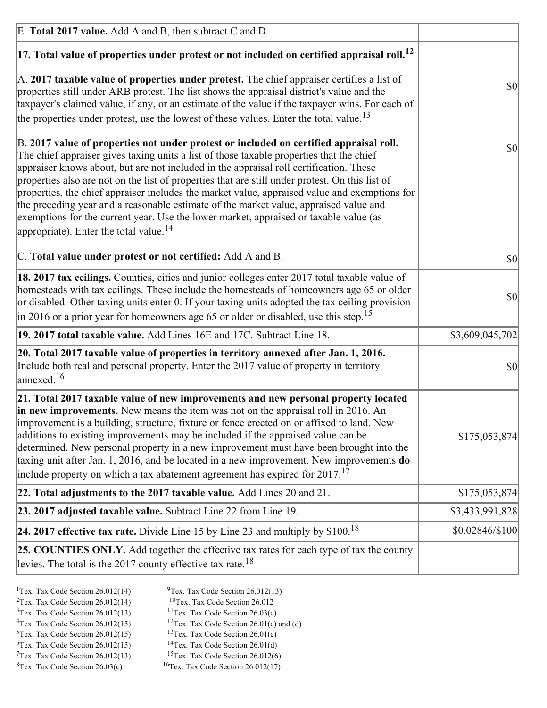| E. Total 2017 value. Add A and B, then subtract C and D.                                                                                                                                                                                                                                                                                                                                                                                                                                                                                                                                                                                                                                                                 |                 |
|--------------------------------------------------------------------------------------------------------------------------------------------------------------------------------------------------------------------------------------------------------------------------------------------------------------------------------------------------------------------------------------------------------------------------------------------------------------------------------------------------------------------------------------------------------------------------------------------------------------------------------------------------------------------------------------------------------------------------|-----------------|
| $ 17$ . Total value of properties under protest or not included on certified appraisal roll. <sup>12</sup>                                                                                                                                                                                                                                                                                                                                                                                                                                                                                                                                                                                                               |                 |
| A. 2017 taxable value of properties under protest. The chief appraiser certifies a list of<br>properties still under ARB protest. The list shows the appraisal district's value and the<br>taxpayer's claimed value, if any, or an estimate of the value if the taxpayer wins. For each of<br>the properties under protest, use the lowest of these values. Enter the total value. <sup>13</sup>                                                                                                                                                                                                                                                                                                                         | \$0             |
| B. 2017 value of properties not under protest or included on certified appraisal roll.<br>The chief appraiser gives taxing units a list of those taxable properties that the chief<br>appraiser knows about, but are not included in the appraisal roll certification. These<br>properties also are not on the list of properties that are still under protest. On this list of<br>properties, the chief appraiser includes the market value, appraised value and exemptions for<br>the preceding year and a reasonable estimate of the market value, appraised value and<br>exemptions for the current year. Use the lower market, appraised or taxable value (as<br>appropriate). Enter the total value. <sup>14</sup> | \$0             |
| C. Total value under protest or not certified: Add A and B.                                                                                                                                                                                                                                                                                                                                                                                                                                                                                                                                                                                                                                                              | $ 10\rangle$    |
| 18. 2017 tax ceilings. Counties, cities and junior colleges enter 2017 total taxable value of<br>homesteads with tax ceilings. These include the homesteads of homeowners age 65 or older<br>or disabled. Other taxing units enter 0. If your taxing units adopted the tax ceiling provision<br>$\vert$ in 2016 or a prior year for homeowners age 65 or older or disabled, use this step. <sup>15</sup>                                                                                                                                                                                                                                                                                                                 | \$0             |
| 19. 2017 total taxable value. Add Lines 16E and 17C. Subtract Line 18.                                                                                                                                                                                                                                                                                                                                                                                                                                                                                                                                                                                                                                                   | \$3,609,045,702 |
| 20. Total 2017 taxable value of properties in territory annexed after Jan. 1, 2016.<br>Include both real and personal property. Enter the 2017 value of property in territory<br>$\text{anne}$ xed. <sup>16</sup>                                                                                                                                                                                                                                                                                                                                                                                                                                                                                                        | $ 10\rangle$    |
| 21. Total 2017 taxable value of new improvements and new personal property located<br>in new improvements. New means the item was not on the appraisal roll in 2016. An<br>improvement is a building, structure, fixture or fence erected on or affixed to land. New<br>additions to existing improvements may be included if the appraised value can be<br>determined. New personal property in a new improvement must have been brought into the<br>taxing unit after Jan. 1, 2016, and be located in a new improvement. New improvements <b>do</b><br>include property on which a tax abatement agreement has expired for $2017$ . <sup>17</sup>                                                                      | \$175,053,874   |
| 22. Total adjustments to the 2017 taxable value. Add Lines 20 and 21.                                                                                                                                                                                                                                                                                                                                                                                                                                                                                                                                                                                                                                                    | \$175,053,874   |
| 23. 2017 adjusted taxable value. Subtract Line 22 from Line 19.                                                                                                                                                                                                                                                                                                                                                                                                                                                                                                                                                                                                                                                          | \$3,433,991,828 |
| 24. 2017 effective tax rate. Divide Line 15 by Line 23 and multiply by $$100$ . <sup>18</sup>                                                                                                                                                                                                                                                                                                                                                                                                                                                                                                                                                                                                                            | \$0.02846/\$100 |
| 25. COUNTIES ONLY. Add together the effective tax rates for each type of tax the county<br>levies. The total is the 2017 county effective tax rate. <sup>18</sup>                                                                                                                                                                                                                                                                                                                                                                                                                                                                                                                                                        |                 |

- <sup>1</sup>Tex. Tax Code Section 26.012(14) <sup>2</sup>Tex. Tax Code Section  $26.012(14)$
- <sup>9</sup>Tex. Tax Code Section 26.012(13)
- ${}^{10}$ Tex. Tax Code Section 26.012  $3$ Tex. Tax Code Section 26.012(13)
	- <sup>11</sup>Tex. Tax Code Section  $26.03(c)$
	- <sup>12</sup>Tex. Tax Code Section 26.01(c) and (d)
- <sup>4</sup>Tex. Tax Code Section  $26.012(15)$  $5$ Tex. Tax Code Section 26.012(15)  $6$ Tex. Tax Code Section 26.012(15)
	- <sup>13</sup>Tex. Tax Code Section  $26.01(c)$ <sup>14</sup>Tex. Tax Code Section 26.01(d)
- $7$ Tex. Tax Code Section 26.012(13)
- $8$ Tex. Tax Code Section 26.03(c)
- <sup>15</sup>Tex. Tax Code Section 26.012(6)
- <sup>16</sup>Tex. Tax Code Section  $26.012(17)$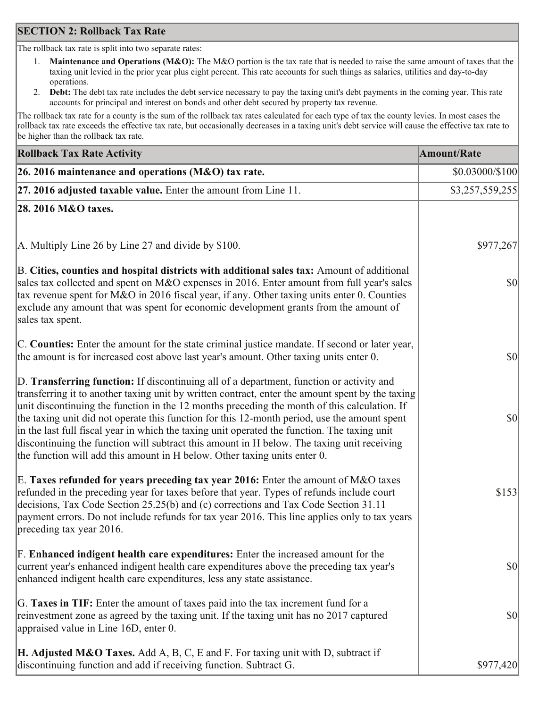### **SECTION 2: Rollback Tax Rate**

The rollback tax rate is split into two separate rates:

- Maintenance and Operations (M&O): The M&O portion is the tax rate that is needed to raise the same amount of taxes that the  $1_{\cdot}$ taxing unit levied in the prior year plus eight percent. This rate accounts for such things as salaries, utilities and day-to-day operations.
- Debt: The debt tax rate includes the debt service necessary to pay the taxing unit's debt payments in the coming year. This rate  $2.$ accounts for principal and interest on bonds and other debt secured by property tax revenue.

The rollback tax rate for a county is the sum of the rollback tax rates calculated for each type of tax the county levies. In most cases the rollback tax rate exceeds the effective tax rate, but occasionally decreases in a taxing unit's debt service will cause the effective tax rate to be higher than the rollback tax rate.

| <b>Rollback Tax Rate Activity</b>                                                                                                                                                                                                                                                                                                                                                                                                                                                                                                                                                                                                                                       | <b>Amount/Rate</b> |
|-------------------------------------------------------------------------------------------------------------------------------------------------------------------------------------------------------------------------------------------------------------------------------------------------------------------------------------------------------------------------------------------------------------------------------------------------------------------------------------------------------------------------------------------------------------------------------------------------------------------------------------------------------------------------|--------------------|
| 26. 2016 maintenance and operations (M&O) tax rate.                                                                                                                                                                                                                                                                                                                                                                                                                                                                                                                                                                                                                     | \$0.03000/\$100    |
| $ 27.2016$ adjusted taxable value. Enter the amount from Line 11.                                                                                                                                                                                                                                                                                                                                                                                                                                                                                                                                                                                                       | \$3,257,559,255    |
| 28. 2016 M&O taxes.                                                                                                                                                                                                                                                                                                                                                                                                                                                                                                                                                                                                                                                     |                    |
|                                                                                                                                                                                                                                                                                                                                                                                                                                                                                                                                                                                                                                                                         |                    |
| A. Multiply Line 26 by Line 27 and divide by \$100.                                                                                                                                                                                                                                                                                                                                                                                                                                                                                                                                                                                                                     | \$977,267          |
| B. Cities, counties and hospital districts with additional sales tax: Amount of additional<br>sales tax collected and spent on M&O expenses in 2016. Enter amount from full year's sales<br>tax revenue spent for M&O in 2016 fiscal year, if any. Other taxing units enter 0. Counties<br>exclude any amount that was spent for economic development grants from the amount of<br>sales tax spent.                                                                                                                                                                                                                                                                     | $ 10\rangle$       |
| C. Counties: Enter the amount for the state criminal justice mandate. If second or later year,<br>the amount is for increased cost above last year's amount. Other taxing units enter 0.                                                                                                                                                                                                                                                                                                                                                                                                                                                                                | 30                 |
| D. Transferring function: If discontinuing all of a department, function or activity and<br>transferring it to another taxing unit by written contract, enter the amount spent by the taxing<br>unit discontinuing the function in the 12 months preceding the month of this calculation. If<br>the taxing unit did not operate this function for this 12-month period, use the amount spent<br>in the last full fiscal year in which the taxing unit operated the function. The taxing unit<br>discontinuing the function will subtract this amount in H below. The taxing unit receiving<br>the function will add this amount in H below. Other taxing units enter 0. | \$0                |
| E. Taxes refunded for years preceding tax year 2016: Enter the amount of M&O taxes<br>refunded in the preceding year for taxes before that year. Types of refunds include court<br>decisions, Tax Code Section 25.25(b) and (c) corrections and Tax Code Section 31.11<br>payment errors. Do not include refunds for tax year 2016. This line applies only to tax years<br>preceding tax year 2016.                                                                                                                                                                                                                                                                     | \$153              |
| F. Enhanced indigent health care expenditures: Enter the increased amount for the<br>current year's enhanced indigent health care expenditures above the preceding tax year's<br>enhanced indigent health care expenditures, less any state assistance.                                                                                                                                                                                                                                                                                                                                                                                                                 | <b>\$0</b>         |
| G. Taxes in TIF: Enter the amount of taxes paid into the tax increment fund for a<br>reinvestment zone as agreed by the taxing unit. If the taxing unit has no 2017 captured<br>appraised value in Line 16D, enter 0.                                                                                                                                                                                                                                                                                                                                                                                                                                                   | $ 10\rangle$       |
| <b>H. Adjusted M&amp;O Taxes.</b> Add A, B, C, E and F. For taxing unit with D, subtract if<br>discontinuing function and add if receiving function. Subtract G.                                                                                                                                                                                                                                                                                                                                                                                                                                                                                                        | \$977,420          |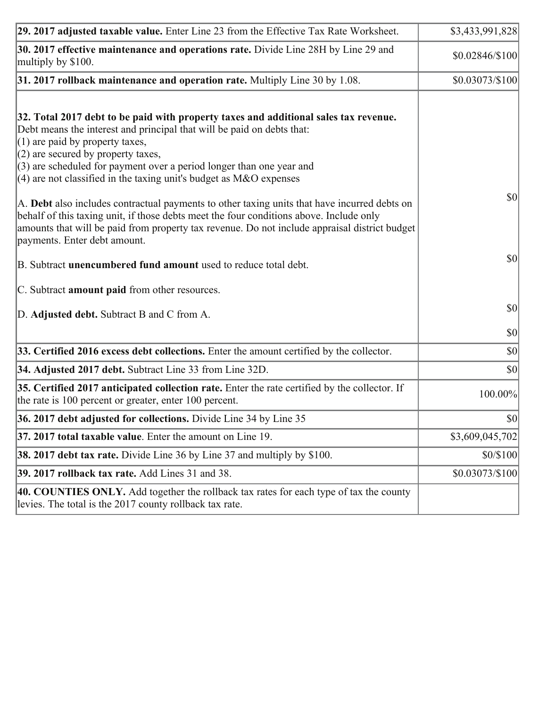| 29. 2017 adjusted taxable value. Enter Line 23 from the Effective Tax Rate Worksheet.                                                                                                                                                                                                                                                                                                         | \$3,433,991,828 |
|-----------------------------------------------------------------------------------------------------------------------------------------------------------------------------------------------------------------------------------------------------------------------------------------------------------------------------------------------------------------------------------------------|-----------------|
| 30. 2017 effective maintenance and operations rate. Divide Line 28H by Line 29 and<br>multiply by \$100.                                                                                                                                                                                                                                                                                      | \$0.02846/\$100 |
| $31.2017$ rollback maintenance and operation rate. Multiply Line 30 by 1.08.                                                                                                                                                                                                                                                                                                                  | \$0.03073/\$100 |
| 32. Total 2017 debt to be paid with property taxes and additional sales tax revenue.<br>Debt means the interest and principal that will be paid on debts that:<br>$(1)$ are paid by property taxes,<br>$(2)$ are secured by property taxes,<br>$(3)$ are scheduled for payment over a period longer than one year and<br>(4) are not classified in the taxing unit's budget as $M&O$ expenses |                 |
| A. Debt also includes contractual payments to other taxing units that have incurred debts on<br>behalf of this taxing unit, if those debts meet the four conditions above. Include only<br>amounts that will be paid from property tax revenue. Do not include appraisal district budget<br>payments. Enter debt amount.                                                                      | 30              |
| B. Subtract unencumbered fund amount used to reduce total debt.                                                                                                                                                                                                                                                                                                                               | \$0             |
| C. Subtract amount paid from other resources.                                                                                                                                                                                                                                                                                                                                                 |                 |
| D. Adjusted debt. Subtract B and C from A.                                                                                                                                                                                                                                                                                                                                                    | <b>\$0</b>      |
|                                                                                                                                                                                                                                                                                                                                                                                               | \$0             |
| 33. Certified 2016 excess debt collections. Enter the amount certified by the collector.                                                                                                                                                                                                                                                                                                      | $ 10\rangle$    |
| 34. Adjusted 2017 debt. Subtract Line 33 from Line 32D.                                                                                                                                                                                                                                                                                                                                       | \$0             |
| 35. Certified 2017 anticipated collection rate. Enter the rate certified by the collector. If<br>the rate is 100 percent or greater, enter 100 percent.                                                                                                                                                                                                                                       | 100.00%         |
| 36. 2017 debt adjusted for collections. Divide Line 34 by Line 35                                                                                                                                                                                                                                                                                                                             | \$0             |
| $ 37, 2017$ total taxable value. Enter the amount on Line 19.                                                                                                                                                                                                                                                                                                                                 | \$3,609,045,702 |
| <b>38. 2017 debt tax rate.</b> Divide Line 36 by Line 37 and multiply by \$100.                                                                                                                                                                                                                                                                                                               | \$0/\$100       |
| 39. 2017 rollback tax rate. Add Lines 31 and 38.                                                                                                                                                                                                                                                                                                                                              | \$0.03073/\$100 |
| 40. COUNTIES ONLY. Add together the rollback tax rates for each type of tax the county<br>levies. The total is the 2017 county rollback tax rate.                                                                                                                                                                                                                                             |                 |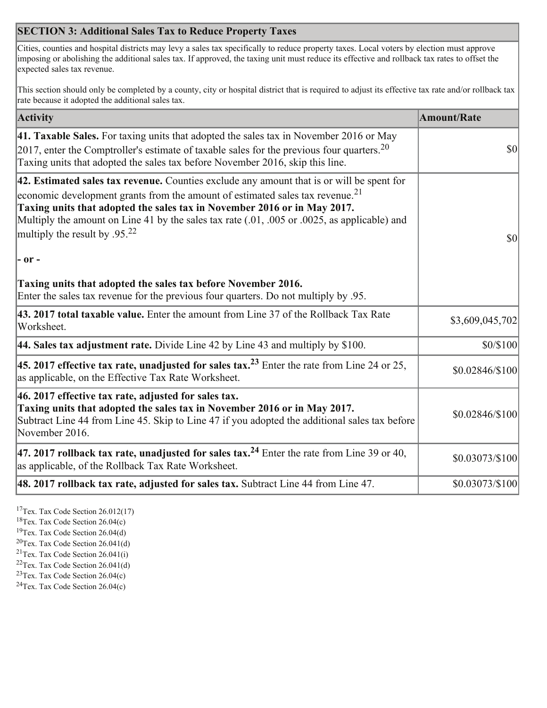## **SECTION 3: Additional Sales Tax to Reduce Property Taxes**

Cities, counties and hospital districts may levy a sales tax specifically to reduce property taxes. Local voters by election must approve imposing or abolishing the additional sales tax. If approved, the taxing unit must reduce its effective and rollback tax rates to offset the expected sales tax revenue.

This section should only be completed by a county, city or hospital district that is required to adjust its effective tax rate and/or rollback tax rate because it adopted the additional sales tax.

| <b>Activity</b>                                                                                                                                                                                                                                                                                                                                                                                         | <b>Amount/Rate</b>                  |
|---------------------------------------------------------------------------------------------------------------------------------------------------------------------------------------------------------------------------------------------------------------------------------------------------------------------------------------------------------------------------------------------------------|-------------------------------------|
| 41. Taxable Sales. For taxing units that adopted the sales tax in November 2016 or May<br>$\vert$ 2017, enter the Comptroller's estimate of taxable sales for the previous four quarters. <sup>20</sup><br>Taxing units that adopted the sales tax before November 2016, skip this line.                                                                                                                | $\vert \mathbf{S} \mathbf{O} \vert$ |
| 42. Estimated sales tax revenue. Counties exclude any amount that is or will be spent for<br>economic development grants from the amount of estimated sales tax revenue. <sup>21</sup><br>Taxing units that adopted the sales tax in November 2016 or in May 2017.<br>Multiply the amount on Line 41 by the sales tax rate (.01, .005 or .0025, as applicable) and<br>multiply the result by $.95^{22}$ | \$0                                 |
| - or -                                                                                                                                                                                                                                                                                                                                                                                                  |                                     |
| Taxing units that adopted the sales tax before November 2016.<br>Enter the sales tax revenue for the previous four quarters. Do not multiply by .95.                                                                                                                                                                                                                                                    |                                     |
| 43. 2017 total taxable value. Enter the amount from Line 37 of the Rollback Tax Rate<br>Worksheet.                                                                                                                                                                                                                                                                                                      | \$3,609,045,702                     |
| 44. Sales tax adjustment rate. Divide Line 42 by Line 43 and multiply by $$100$ .                                                                                                                                                                                                                                                                                                                       | \$0/\$100                           |
| 45. 2017 effective tax rate, unadjusted for sales tax. <sup>23</sup> Enter the rate from Line 24 or 25,<br>as applicable, on the Effective Tax Rate Worksheet.                                                                                                                                                                                                                                          | \$0.02846/\$100                     |
| 46. 2017 effective tax rate, adjusted for sales tax.<br>Taxing units that adopted the sales tax in November 2016 or in May 2017.<br>Subtract Line 44 from Line 45. Skip to Line 47 if you adopted the additional sales tax before<br>November 2016.                                                                                                                                                     | \$0.02846/\$100                     |
| 47. 2017 rollback tax rate, unadjusted for sales tax. <sup>24</sup> Enter the rate from Line 39 or 40,<br>as applicable, of the Rollback Tax Rate Worksheet.                                                                                                                                                                                                                                            | \$0.03073/\$100                     |
| $ 48.2017$ rollback tax rate, adjusted for sales tax. Subtract Line 44 from Line 47.                                                                                                                                                                                                                                                                                                                    | \$0.03073/\$100                     |

 $17$ Tex. Tax Code Section 26.012(17)

 ${}^{18}$ Tex. Tax Code Section 26.04(c)

<sup>19</sup>Tex. Tax Code Section 26.04(d)

 $20$ Tex. Tax Code Section 26.041(d)

- <sup>21</sup>Tex. Tax Code Section  $26.041(i)$
- <sup>22</sup>Tex. Tax Code Section  $26.041(d)$
- <sup>23</sup>Tex. Tax Code Section  $26.04(c)$

<sup>24</sup>Tex. Tax Code Section  $26.04(c)$